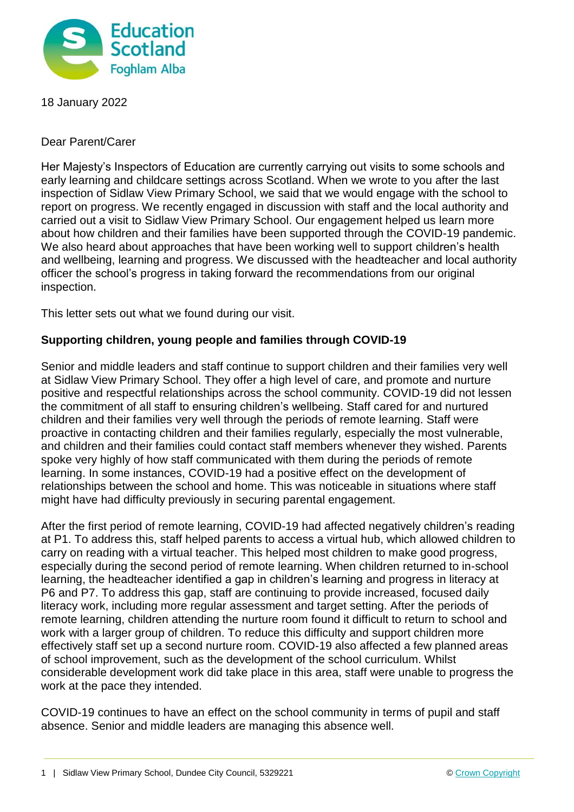

18 January 2022

Dear Parent/Carer

Her Majesty's Inspectors of Education are currently carrying out visits to some schools and early learning and childcare settings across Scotland. When we wrote to you after the last inspection of Sidlaw View Primary School, we said that we would engage with the school to report on progress. We recently engaged in discussion with staff and the local authority and carried out a visit to Sidlaw View Primary School. Our engagement helped us learn more about how children and their families have been supported through the COVID-19 pandemic. We also heard about approaches that have been working well to support children's health and wellbeing, learning and progress. We discussed with the headteacher and local authority officer the school's progress in taking forward the recommendations from our original inspection.

This letter sets out what we found during our visit.

## **Supporting children, young people and families through COVID-19**

Senior and middle leaders and staff continue to support children and their families very well at Sidlaw View Primary School. They offer a high level of care, and promote and nurture positive and respectful relationships across the school community. COVID-19 did not lessen the commitment of all staff to ensuring children's wellbeing. Staff cared for and nurtured children and their families very well through the periods of remote learning. Staff were proactive in contacting children and their families regularly, especially the most vulnerable, and children and their families could contact staff members whenever they wished. Parents spoke very highly of how staff communicated with them during the periods of remote learning. In some instances, COVID-19 had a positive effect on the development of relationships between the school and home. This was noticeable in situations where staff might have had difficulty previously in securing parental engagement.

After the first period of remote learning, COVID-19 had affected negatively children's reading at P1. To address this, staff helped parents to access a virtual hub, which allowed children to carry on reading with a virtual teacher. This helped most children to make good progress, especially during the second period of remote learning. When children returned to in-school learning, the headteacher identified a gap in children's learning and progress in literacy at P6 and P7. To address this gap, staff are continuing to provide increased, focused daily literacy work, including more regular assessment and target setting. After the periods of remote learning, children attending the nurture room found it difficult to return to school and work with a larger group of children. To reduce this difficulty and support children more effectively staff set up a second nurture room. COVID-19 also affected a few planned areas of school improvement, such as the development of the school curriculum. Whilst considerable development work did take place in this area, staff were unable to progress the work at the pace they intended.

COVID-19 continues to have an effect on the school community in terms of pupil and staff absence. Senior and middle leaders are managing this absence well.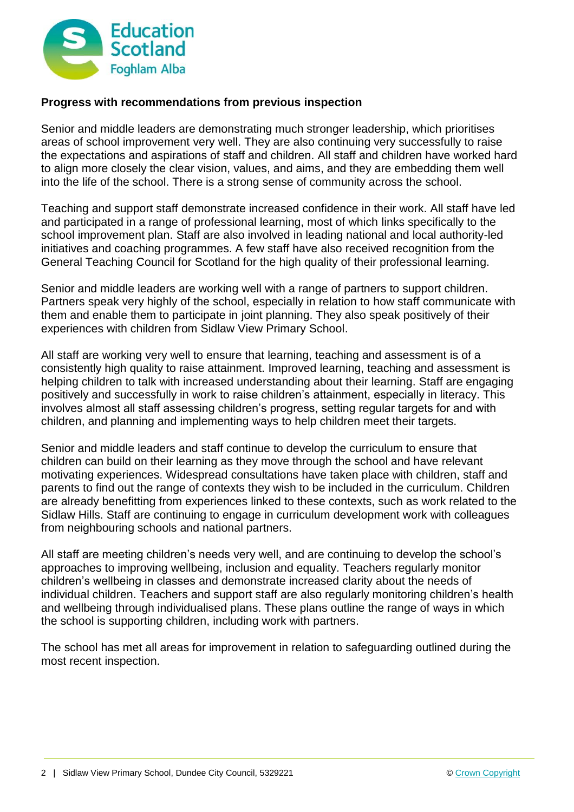

## **Progress with recommendations from previous inspection**

Senior and middle leaders are demonstrating much stronger leadership, which prioritises areas of school improvement very well. They are also continuing very successfully to raise the expectations and aspirations of staff and children. All staff and children have worked hard to align more closely the clear vision, values, and aims, and they are embedding them well into the life of the school. There is a strong sense of community across the school.

Teaching and support staff demonstrate increased confidence in their work. All staff have led and participated in a range of professional learning, most of which links specifically to the school improvement plan. Staff are also involved in leading national and local authority-led initiatives and coaching programmes. A few staff have also received recognition from the General Teaching Council for Scotland for the high quality of their professional learning.

Senior and middle leaders are working well with a range of partners to support children. Partners speak very highly of the school, especially in relation to how staff communicate with them and enable them to participate in joint planning. They also speak positively of their experiences with children from Sidlaw View Primary School.

All staff are working very well to ensure that learning, teaching and assessment is of a consistently high quality to raise attainment. Improved learning, teaching and assessment is helping children to talk with increased understanding about their learning. Staff are engaging positively and successfully in work to raise children's attainment, especially in literacy. This involves almost all staff assessing children's progress, setting regular targets for and with children, and planning and implementing ways to help children meet their targets.

Senior and middle leaders and staff continue to develop the curriculum to ensure that children can build on their learning as they move through the school and have relevant motivating experiences. Widespread consultations have taken place with children, staff and parents to find out the range of contexts they wish to be included in the curriculum. Children are already benefitting from experiences linked to these contexts, such as work related to the Sidlaw Hills. Staff are continuing to engage in curriculum development work with colleagues from neighbouring schools and national partners.

All staff are meeting children's needs very well, and are continuing to develop the school's approaches to improving wellbeing, inclusion and equality. Teachers regularly monitor children's wellbeing in classes and demonstrate increased clarity about the needs of individual children. Teachers and support staff are also regularly monitoring children's health and wellbeing through individualised plans. These plans outline the range of ways in which the school is supporting children, including work with partners.

The school has met all areas for improvement in relation to safeguarding outlined during the most recent inspection.